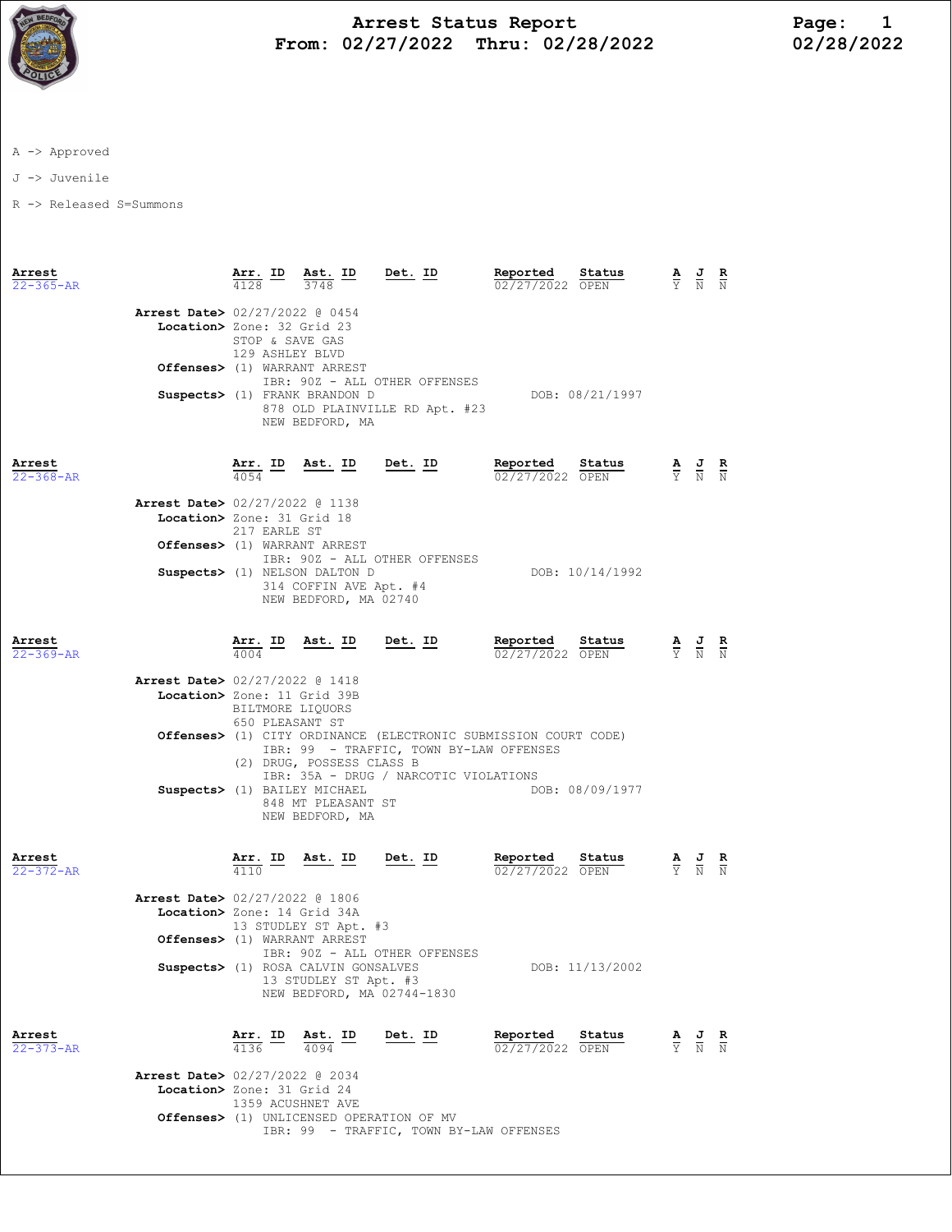

## Arrest Status Report 1<br>02/27/2022 Thru: 02/28/2022 12/28/2022 From:  $02/27/2022$  Thru:  $02/28/2022$

A -> Approved

J -> Juvenile

R -> Released S=Summons

| Arrest<br>$22 - 365 - AR$ |                                                               | <u>Arr.</u> ID<br>4128                                                                                                                                                                     | Ast. ID<br>3748                                                                            | Det. ID                        | Reported<br>02/27/2022 OPEN | Status          |  | $\frac{\mathbf{A}}{\mathbf{Y}}$ $\frac{\mathbf{J}}{\mathbf{N}}$                                 | $\frac{R}{N}$              |
|---------------------------|---------------------------------------------------------------|--------------------------------------------------------------------------------------------------------------------------------------------------------------------------------------------|--------------------------------------------------------------------------------------------|--------------------------------|-----------------------------|-----------------|--|-------------------------------------------------------------------------------------------------|----------------------------|
|                           | Arrest Date> 02/27/2022 @ 0454<br>Location> Zone: 32 Grid 23  | STOP & SAVE GAS<br>129 ASHLEY BLVD                                                                                                                                                         |                                                                                            |                                |                             |                 |  |                                                                                                 |                            |
|                           | Offenses> (1) WARRANT ARREST                                  |                                                                                                                                                                                            |                                                                                            | IBR: 90Z - ALL OTHER OFFENSES  |                             |                 |  |                                                                                                 |                            |
|                           |                                                               |                                                                                                                                                                                            | Suspects> (1) FRANK BRANDON D<br>NEW BEDFORD, MA                                           | 878 OLD PLAINVILLE RD Apt. #23 |                             | DOB: 08/21/1997 |  |                                                                                                 |                            |
| Arrest<br>$22 - 368 - AR$ |                                                               |                                                                                                                                                                                            | $\frac{\texttt{Arr.}}{4054}$ ID Ast. ID Det. ID                                            |                                | Reported<br>02/27/2022 OPEN | Status          |  | $\frac{\mathbf{A}}{\mathbf{Y}}$ $\frac{\mathbf{J}}{\mathbf{N}}$ $\frac{\mathbf{R}}{\mathbf{N}}$ |                            |
|                           | Arrest Date> 02/27/2022 @ 1138<br>Location> Zone: 31 Grid 18  |                                                                                                                                                                                            |                                                                                            |                                |                             |                 |  |                                                                                                 |                            |
|                           |                                                               | 217 EARLE ST                                                                                                                                                                               | Offenses> (1) WARRANT ARREST                                                               |                                |                             |                 |  |                                                                                                 |                            |
|                           |                                                               |                                                                                                                                                                                            | Suspects> (1) NELSON DALTON D<br>314 COFFIN AVE Apt. #4<br>NEW BEDFORD, MA 02740           | IBR: 90Z - ALL OTHER OFFENSES  |                             | DOB: 10/14/1992 |  |                                                                                                 |                            |
| Arrest<br>$22 - 369 - AR$ |                                                               |                                                                                                                                                                                            | $\frac{\texttt{Arr.}}{4004}$ ID Ast. ID Det. ID                                            |                                | Reported<br>02/27/2022 OPEN | Status          |  | $\frac{\mathbf{A}}{\mathbf{Y}}$ $\frac{\mathbf{J}}{\mathbf{N}}$                                 | $\frac{\mathbf{R}}{\rm N}$ |
|                           | Arrest Date> 02/27/2022 @ 1418<br>Location> Zone: 11 Grid 39B | BILTMORE LIQUORS<br>650 PLEASANT ST                                                                                                                                                        |                                                                                            |                                |                             |                 |  |                                                                                                 |                            |
|                           |                                                               | <b>Offenses&gt;</b> (1) CITY ORDINANCE (ELECTRONIC SUBMISSION COURT CODE)<br>IBR: 99 - TRAFFIC, TOWN BY-LAW OFFENSES<br>(2) DRUG, POSSESS CLASS B<br>IBR: 35A - DRUG / NARCOTIC VIOLATIONS |                                                                                            |                                |                             |                 |  |                                                                                                 |                            |
|                           |                                                               |                                                                                                                                                                                            | Suspects> (1) BAILEY MICHAEL<br>848 MT PLEASANT ST<br>NEW BEDFORD, MA                      |                                |                             | DOB: 08/09/1977 |  |                                                                                                 |                            |
| Arrest<br>$22 - 372 - AR$ |                                                               |                                                                                                                                                                                            | $\frac{\texttt{Arr.}}{4110}$ ID Ast. ID Det. ID                                            |                                | Reported<br>02/27/2022 OPEN | Status          |  | $\frac{\mathbf{A}}{\mathbf{Y}}$ $\frac{\mathbf{J}}{\mathbf{N}}$ $\frac{\mathbf{R}}{\mathbf{N}}$ |                            |
|                           | Arrest Date> 02/27/2022 @ 1806<br>Location> Zone: 14 Grid 34A |                                                                                                                                                                                            |                                                                                            |                                |                             |                 |  |                                                                                                 |                            |
|                           |                                                               |                                                                                                                                                                                            | 13 STUDLEY ST Apt. #3<br>Offenses> (1) WARRANT ARREST                                      | IBR: 90Z - ALL OTHER OFFENSES  |                             |                 |  |                                                                                                 |                            |
|                           |                                                               |                                                                                                                                                                                            | Suspects> (1) ROSA CALVIN GONSALVES<br>13 STUDLEY ST Apt. #3<br>NEW BEDFORD, MA 02744-1830 |                                |                             | DOB: 11/13/2002 |  |                                                                                                 |                            |
| Arrest<br>$22 - 373 - AR$ |                                                               | $\frac{\text{Arr.}}{4136}$ ID $\frac{\text{Ast.}}{4094}$                                                                                                                                   |                                                                                            | Det. ID                        | Reported<br>02/27/2022 OPEN | Status          |  | $\frac{\mathbf{A}}{\mathbf{Y}}$ $\frac{\mathbf{J}}{\mathbf{N}}$                                 | $rac{\mathbf{R}}{N}$       |
|                           | Arrest Date> 02/27/2022 @ 2034<br>Location> Zone: 31 Grid 24  | 1359 ACUSHNET AVE                                                                                                                                                                          |                                                                                            |                                |                             |                 |  |                                                                                                 |                            |
|                           |                                                               |                                                                                                                                                                                            | Offenses> (1) UNLICENSED OPERATION OF MV                                                   |                                |                             |                 |  |                                                                                                 |                            |

IBR: 99 - TRAFFIC, TOWN BY-LAW OFFENSES